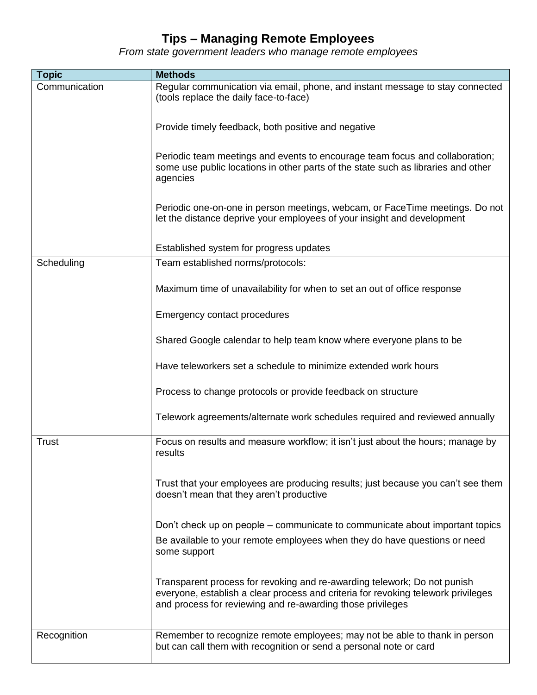## **Tips – Managing Remote Employees**

*From state government leaders who manage remote employees*

| <b>Topic</b>  | <b>Methods</b>                                                                                                                                                                                                              |
|---------------|-----------------------------------------------------------------------------------------------------------------------------------------------------------------------------------------------------------------------------|
| Communication | Regular communication via email, phone, and instant message to stay connected<br>(tools replace the daily face-to-face)                                                                                                     |
|               | Provide timely feedback, both positive and negative                                                                                                                                                                         |
|               | Periodic team meetings and events to encourage team focus and collaboration;<br>some use public locations in other parts of the state such as libraries and other<br>agencies                                               |
|               | Periodic one-on-one in person meetings, webcam, or FaceTime meetings. Do not<br>let the distance deprive your employees of your insight and development                                                                     |
|               | Established system for progress updates                                                                                                                                                                                     |
| Scheduling    | Team established norms/protocols:                                                                                                                                                                                           |
|               | Maximum time of unavailability for when to set an out of office response                                                                                                                                                    |
|               | Emergency contact procedures                                                                                                                                                                                                |
|               | Shared Google calendar to help team know where everyone plans to be                                                                                                                                                         |
|               | Have teleworkers set a schedule to minimize extended work hours                                                                                                                                                             |
|               | Process to change protocols or provide feedback on structure                                                                                                                                                                |
|               | Telework agreements/alternate work schedules required and reviewed annually                                                                                                                                                 |
| <b>Trust</b>  | Focus on results and measure workflow; it isn't just about the hours; manage by<br>results                                                                                                                                  |
|               | Trust that your employees are producing results; just because you can't see them<br>doesn't mean that they aren't productive                                                                                                |
|               | Don't check up on people – communicate to communicate about important topics                                                                                                                                                |
|               | Be available to your remote employees when they do have questions or need<br>some support                                                                                                                                   |
|               | Transparent process for revoking and re-awarding telework; Do not punish<br>everyone, establish a clear process and criteria for revoking telework privileges<br>and process for reviewing and re-awarding those privileges |
| Recognition   | Remember to recognize remote employees; may not be able to thank in person<br>but can call them with recognition or send a personal note or card                                                                            |